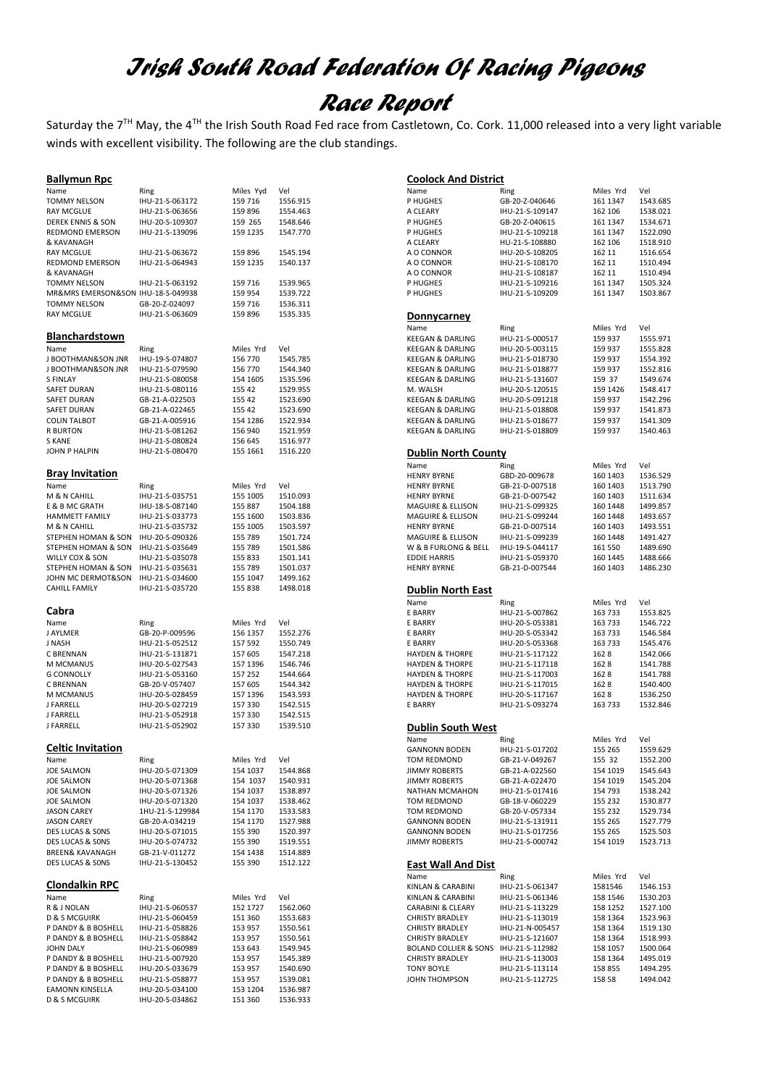# *Irish South Road Federation Of Racing Pigeons Race Report*

Saturday the 7TH May, the 4TH the Irish South Road Fed race from Castletown, Co. Cork. 11,000 released into a very light variable winds with excellent visibility. The following are the club standings.

### **Ballymun Rpc**

| Name                                           | Ring                               | Miles Yyd           | Vel                  |
|------------------------------------------------|------------------------------------|---------------------|----------------------|
| TOMMY NELSON                                   | IHU-21-S-063172                    | 159 716             | 1556.915             |
| <b>RAY MCGLUE</b>                              | IHU-21-S-063656                    | 159 896             | 1554.463             |
| DEREK ENNIS & SON                              | IHU-20-S-109307                    | 159 265             | 1548.646             |
| REDMOND EMERSON                                | IHU-21-S-139096                    | 159 1235            | 1547.770             |
| & KAVANAGH                                     |                                    |                     |                      |
| <b>RAY MCGLUE</b><br>REDMOND EMERSON           | IHU-21-S-063672<br>IHU-21-S-064943 | 159 896<br>159 1235 | 1545.194             |
| & KAVANAGH                                     |                                    |                     | 1540.137             |
| TOMMY NELSON                                   | IHU-21-S-063192                    | 159 716             | 1539.965             |
| MR&MRS EMERSON&SON IHU-18-S-049938             |                                    | 159 954             | 1539.722             |
| <b>TOMMY NELSON</b>                            | GB-20-Z-024097                     | 159 716             | 1536.311             |
| <b>RAY MCGLUE</b>                              | IHU-21-S-063609                    | 159 896             | 1535.335             |
|                                                |                                    |                     |                      |
| <b>Blanchardstown</b>                          |                                    |                     |                      |
| Name                                           | Ring                               | Miles Yrd           | Vel                  |
| J BOOTHMAN&SON JNR                             | IHU-19-S-074807                    | 156 770             | 1545.785             |
| J BOOTHMAN&SON JNR                             | IHU-21-S-079590                    | 156 770             | 1544.340             |
| S FINLAY                                       | IHU-21-S-080058                    | 154 1605            | 1535.596             |
| SAFET DURAN                                    | IHU-21-S-080116                    | 155 42              | 1529.955             |
| <b>SAFET DURAN</b>                             | GB-21-A-022503                     | 155 42              | 1523.690             |
| SAFET DURAN                                    | GB-21-A-022465                     | 155 42              | 1523.690             |
| <b>COLIN TALBOT</b><br><b>R BURTON</b>         | GB-21-A-005916<br>IHU-21-S-081262  | 154 1286<br>156 940 | 1522.934             |
| S KANE                                         | IHU-21-S-080824                    | 156 645             | 1521.959<br>1516.977 |
| JOHN P HALPIN                                  | IHU-21-S-080470                    | 155 1661            | 1516.220             |
|                                                |                                    |                     |                      |
| <b>Bray Invitation</b>                         |                                    |                     |                      |
| Name                                           | Ring                               | Miles Yrd           | Vel                  |
| M & N CAHILL                                   | IHU-21-S-035751                    | 155 1005            | 1510.093             |
| E & B MC GRATH                                 | IHU-18-S-087140                    | 155 887             | 1504.188             |
| <b>HAMMETT FAMILY</b>                          | IHU-21-S-033773                    | 155 1600            | 1503.836             |
| M & N CAHILL                                   | IHU-21-S-035732                    | 155 1005            | 1503.597             |
| STEPHEN HOMAN & SON                            | IHU-20-S-090326                    | 155 789             | 1501.724             |
| STEPHEN HOMAN & SON                            | IHU-21-S-035649                    | 155 789             | 1501.586             |
| WILLY COX & SON                                | IHU-21-S-035078                    | 155 833             | 1501.141             |
| STEPHEN HOMAN & SON                            | IHU-21-S-035631                    | 155 789             | 1501.037             |
| JOHN MC DERMOT&SON                             | IHU-21-S-034600                    | 155 1047            | 1499.162             |
| <b>CAHILL FAMILY</b>                           | IHU-21-S-035720                    | 155 838             | 1498.018             |
|                                                |                                    |                     |                      |
| Cabra                                          |                                    |                     |                      |
| Name                                           | Ring                               | Miles Yrd           | Vel                  |
| J AYLMER                                       | GB-20-P-009596                     | 156 1357            | 1552.276             |
| J NASH                                         | IHU-21-S-052512                    | 157 592             | 1550.749             |
| C BRENNAN                                      | IHU-21-S-131871                    | 157 605             | 1547.218             |
| M MCMANUS<br><b>G CONNOLLY</b>                 | IHU-20-S-027543<br>IHU-21-S-053160 | 157 1396<br>157 252 | 1546.746<br>1544.664 |
| C BRENNAN                                      | GB-20-V-057407                     | 157 605             | 1544.342             |
| M MCMANUS                                      | IHU-20-S-028459                    | 157 1396            | 1543.593             |
| <b>J FARRELL</b>                               | IHU-20-S-027219                    | 157 330             | 1542.515             |
| <b>J FARRELL</b>                               | IHU-21-S-052918                    | 157 330             | 1542.515             |
| <b>J FARRELL</b>                               | IHU-21-S-052902                    | 157 330             | 1539.510             |
|                                                |                                    |                     |                      |
| <b>Celtic Invitation</b>                       |                                    |                     |                      |
| Name                                           | Ring                               | Miles Yrd           | Vel                  |
| <b>JOE SALMON</b>                              | IHU-20-S-071309                    | 154 1037            | 1544.868             |
| JOE SALMON                                     | IHU-20-S-071368                    | 154 1037            | 1540.931             |
| <b>JOE SALMON</b>                              | IHU-20-S-071326                    | 154 1037            | 1538.897             |
| <b>JOE SALMON</b>                              | IHU-20-S-071320                    | 154 1037            | 1538.462             |
| <b>JASON CAREY</b>                             | 1HU-21-S-129984                    | 154 1170            | 1533.583             |
| <b>JASON CAREY</b>                             | GB-20-A-034219                     | 154 1170            | 1527.988             |
| DES LUCAS & SONS                               | IHU-20-S-071015                    | 155 390             | 1520.397             |
| DES LUCAS & SONS                               |                                    |                     |                      |
| <b>BREEN&amp; KAVANAGH</b><br>DES LUCAS & SONS | IHU-20-S-074732                    | 155 390             | 1519.551             |
|                                                | GB-21-V-011272                     | 154 1438            | 1514.889             |
|                                                | IHU-21-S-130452                    | 155 390             | 1512.122             |
|                                                |                                    |                     |                      |
| <b>Clondalkin RPC</b>                          |                                    |                     |                      |
| Name                                           | Ring                               | Miles Yrd           | Vel                  |
| R & J NOLAN                                    | IHU-21-S-060537                    | 152 1727            | 1562.060             |
| <b>D &amp; S MCGUIRK</b>                       | IHU-21-S-060459                    | 151 360             | 1553.683             |
| P DANDY & B BOSHELL                            | IHU-21-S-058826                    | 153 957             | 1550.561             |
| P DANDY & B BOSHELL<br><b>JOHN DALY</b>        | IHU-21-S-058842<br>IHU-21-S-060989 | 153 957<br>153 643  | 1550.561<br>1549.945 |
| P DANDY & B BOSHELL                            | IHU-21-S-007920                    | 153 957             | 1545.389             |
| P DANDY & B BOSHELL                            | IHU-20-S-033679                    | 153 957             | 1540.690             |
| P DANDY & B BOSHELL                            | IHU-21-S-058877                    | 153 957             | 1539.081             |
| <b>EAMONN KINSELLA</b>                         | IHU-20-S-034100                    | 153 1204            | 1536.987             |

| <b>Coolock And District</b>                              |                                    |                       |                      |
|----------------------------------------------------------|------------------------------------|-----------------------|----------------------|
| Name                                                     | Ring                               | Miles Yrd             | Vel                  |
| P HUGHES                                                 | GB-20-Z-040646                     | 161 1347              | 1543.685             |
| A CLEARY                                                 | IHU-21-S-109147                    | 162 106               | 1538.021             |
| P HUGHES                                                 | GB-20-Z-040615                     | 161 1347              | 1534.671             |
| P HUGHES                                                 | IHU-21-S-109218                    | 161 1347              | 1522.090             |
| A CLEARY                                                 | HU-21-S-108880                     | 162 106               | 1518.910             |
| A O CONNOR                                               | IHU-20-S-108205                    | 162 11                | 1516.654             |
| A O CONNOR                                               | IHU-21-S-108170                    | 162 11                | 1510.494             |
| A O CONNOR<br>P HUGHES                                   | IHU-21-S-108187<br>IHU-21-S-109216 | 162 11<br>161 1347    | 1510.494<br>1505.324 |
| P HUGHES                                                 | IHU-21-S-109209                    | 161 1347              | 1503.867             |
|                                                          |                                    |                       |                      |
| <u>Donnycarney</u>                                       |                                    |                       |                      |
| Name                                                     | Ring                               | Miles Yrd             | Vel                  |
| <b>KEEGAN &amp; DARLING</b>                              | IHU-21-S-000517                    | 159 937               | 1555.971             |
| <b>KEEGAN &amp; DARLING</b>                              | IHU-20-S-003115                    | 159 937               | 1555.828             |
| <b>KEEGAN &amp; DARLING</b>                              | IHU-21-S-018730                    | 159 937               | 1554.392             |
| <b>KEEGAN &amp; DARLING</b>                              | IHU-21-S-018877                    | 159 937               | 1552.816             |
| <b>KEEGAN &amp; DARLING</b>                              | IHU-21-S-131607                    | 159 37                | 1549.674             |
| M. WALSH                                                 | IHU-20-S-120515                    | 159 1426              | 1548.417             |
| KEEGAN & DARLING                                         | IHU-20-S-091218                    | 159 937               | 1542.296             |
| <b>KEEGAN &amp; DARLING</b>                              | IHU-21-S-018808                    | 159 937               | 1541.873             |
| <b>KEEGAN &amp; DARLING</b>                              | IHU-21-S-018677                    | 159 937               | 1541.309             |
| <b>KEEGAN &amp; DARLING</b>                              | IHU-21-S-018809                    | 159 937               | 1540.463             |
| Dublin North County                                      |                                    |                       |                      |
|                                                          | Ring                               |                       | Vel                  |
| Name<br><b>HENRY BYRNE</b>                               |                                    | Miles Yrd<br>160 1403 |                      |
| <b>HENRY BYRNE</b>                                       | GBD-20-009678<br>GB-21-D-007518    | 160 1403              | 1536.529<br>1513.790 |
| <b>HENRY BYRNE</b>                                       | GB-21-D-007542                     | 160 1403              | 1511.634             |
| <b>MAGUIRE &amp; ELLISON</b>                             | IHU-21-S-099325                    | 160 1448              | 1499.857             |
| MAGUIRE & ELLISON                                        | IHU-21-S-099244                    | 160 1448              | 1493.657             |
| <b>HENRY BYRNE</b>                                       | GB-21-D-007514                     | 160 1403              | 1493.551             |
| <b>MAGUIRE &amp; ELLISON</b>                             | IHU-21-S-099239                    | 160 1448              | 1491.427             |
| W & B FURLONG & BELL                                     | IHU-19-S-044117                    | 161 550               | 1489.690             |
| <b>EDDIE HARRIS</b>                                      | IHU-21-S-059370                    | 160 1445              | 1488.666             |
| <b>HENRY BYRNE</b>                                       | GB-21-D-007544                     | 160 1403              | 1486.230             |
|                                                          |                                    |                       |                      |
|                                                          |                                    |                       |                      |
| Dublin North East                                        |                                    |                       |                      |
| Name                                                     | Ring                               | Miles Yrd             | Vel                  |
| E BARRY                                                  | IHU-21-S-007862                    | 163 733               | 1553.825             |
| E BARRY                                                  | IHU-20-S-053381                    | 163 733               | 1546.722             |
| E BARRY                                                  | IHU-20-S-053342                    | 163 733               | 1546.584             |
| E BARRY                                                  | IHU-20-S-053368                    | 163 733               | 1545.476             |
| <b>HAYDEN &amp; THORPE</b>                               | IHU-21-S-117122                    | 1628<br>1628          | 1542.066             |
| <b>HAYDEN &amp; THORPE</b><br><b>HAYDEN &amp; THORPE</b> | IHU-21-S-117118<br>IHU-21-S-117003 | 1628                  | 1541.788<br>1541.788 |
| <b>HAYDEN &amp; THORPE</b>                               | IHU-21-S-117015                    | 1628                  | 1540.400             |
| <b>HAYDEN &amp; THORPE</b>                               | IHU-20-S-117167                    | 1628                  | 1536.250             |
| <b>E BARRY</b>                                           | IHU-21-S-093274                    | 163 733               | 1532.846             |
|                                                          |                                    |                       |                      |
| Dublin South West                                        |                                    |                       |                      |
| Name                                                     | Ring                               | Miles Yrd             | Vel                  |
| <b>GANNONN BODEN</b>                                     | IHU-21-S-017202                    | 155 265               | 1559.629             |
| TOM REDMOND                                              | GB-21-V-049267                     | 155 32                | 1552.200             |
| <b>JIMMY ROBERTS</b>                                     | GB-21-A-022560                     | 154 1019              | 1545.643             |
| <b>JIMMY ROBERTS</b>                                     | GB-21-A-022470                     | 154 1019              | 1545.204             |
| NATHAN MCMAHON<br>TOM REDMOND                            | IHU-21-S-017416<br>GB-18-V-060229  | 154 793<br>155 232    | 1538.242<br>1530.877 |
| TOM REDMOND                                              | GB-20-V-057334                     | 155 232               | 1529.734             |
| <b>GANNONN BODEN</b>                                     | IHU-21-S-131911                    | 155 265               | 1527.779             |
| <b>GANNONN BODEN</b>                                     | IHU-21-S-017256                    | 155 265               | 1525.503             |
| <b>JIMMY ROBERTS</b>                                     | IHU-21-S-000742                    | 154 1019              | 1523.713             |
|                                                          |                                    |                       |                      |
| <b>East Wall And Dist</b>                                |                                    |                       |                      |
| Name                                                     | Ring                               | Miles Yrd             | Vel                  |
| KINLAN & CARABINI                                        | IHU-21-S-061347                    | 1581546               | 1546.153             |
| KINLAN & CARABINI                                        | IHU-21-S-061346                    | 158 1546              | 1530.203             |
| CARABINI & CLEARY<br><b>CHRISTY BRADLEY</b>              | IHU-21-S-113229<br>IHU-21-S-113019 | 158 1252<br>158 1364  | 1527.100<br>1523.963 |
| <b>CHRISTY BRADLEY</b>                                   | IHU-21-N-005457                    | 158 1364              | 1519.130             |
| <b>CHRISTY BRADLEY</b>                                   | IHU-21-S-121607                    | 158 1364              | 1518.993             |
| <b>BOLAND COLLIER &amp; SONS</b>                         | IHU-21-S-112982                    | 158 1057              | 1500.064             |
| <b>CHRISTY BRADLEY</b>                                   | IHU-21-S-113003                    | 158 1364              | 1495.019             |
| <b>TONY BOYLE</b><br>JOHN THOMPSON                       | IHU-21-S-113114<br>IHU-21-S-112725 | 158 855<br>158 58     | 1494.295<br>1494.042 |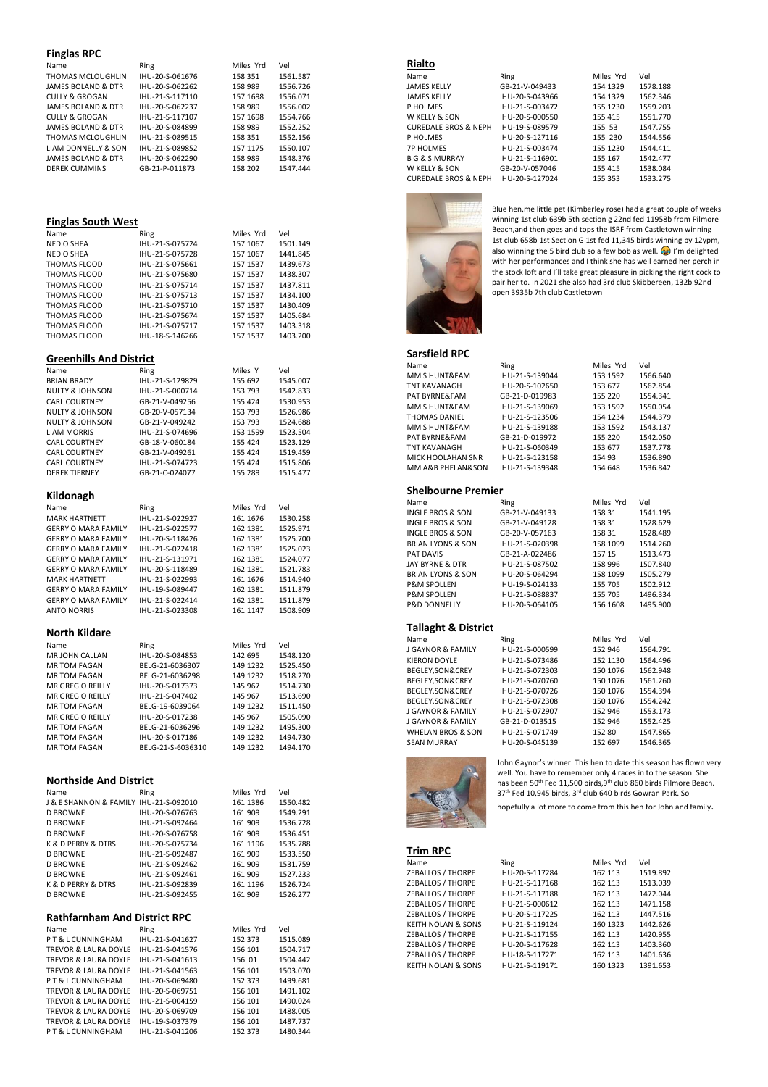### **Finglas RPC**

| Name                      | Ring            | Miles Yrd | Vel      |
|---------------------------|-----------------|-----------|----------|
| THOMAS MCLOUGHLIN         | IHU-20-S-061676 | 158 351   | 1561.587 |
| JAMES BOLAND & DTR        | IHU-20-S-062262 | 158 989   | 1556.726 |
| <b>CULLY &amp; GROGAN</b> | IHU-21-S-117110 | 157 1698  | 1556.071 |
| JAMES BOLAND & DTR        | IHU-20-S-062237 | 158 989   | 1556.002 |
| <b>CULLY &amp; GROGAN</b> | IHU-21-S-117107 | 157 1698  | 1554.766 |
| JAMES BOLAND & DTR        | IHU-20-S-084899 | 158 989   | 1552.252 |
| THOMAS MCLOUGHLIN         | IHU-21-S-089515 | 158 351   | 1552.156 |
| LIAM DONNELLY & SON       | IHU-21-S-089852 | 157 1175  | 1550.107 |
| JAMES BOLAND & DTR        | IHU-20-S-062290 | 158 989   | 1548.376 |
| <b>DEREK CUMMINS</b>      | GB-21-P-011873  | 158 202   | 1547.444 |

### **Finglas South West**

| Ring                           | Miles Yrd | Vel      |  |  |
|--------------------------------|-----------|----------|--|--|
| IHU-21-S-075724                | 157 1067  | 1501.149 |  |  |
| IHU-21-S-075728                | 157 1067  | 1441.845 |  |  |
| IHU-21-S-075661                | 157 1537  | 1439.673 |  |  |
| IHU-21-S-075680                | 157 1537  | 1438.307 |  |  |
| IHU-21-S-075714                | 157 1537  | 1437.811 |  |  |
| IHU-21-S-075713                | 157 1537  | 1434.100 |  |  |
| IHU-21-S-075710                | 157 1537  | 1430.409 |  |  |
| IHU-21-S-075674                | 157 1537  | 1405.684 |  |  |
| IHU-21-S-075717                | 157 1537  | 1403.318 |  |  |
| IHU-18-S-146266                | 157 1537  | 1403.200 |  |  |
|                                |           |          |  |  |
| <b>Greenhills And District</b> |           |          |  |  |
|                                |           |          |  |  |

| Name                                           | Ring              | Miles Y   | Vel      |
|------------------------------------------------|-------------------|-----------|----------|
| <b>BRIAN BRADY</b>                             | IHU-21-S-129829   | 155 692   | 1545.007 |
| NULTY & JOHNSON                                | IHU-21-S-000714   | 153 793   | 1542.833 |
| <b>CARL COURTNEY</b>                           | GB-21-V-049256    | 155 424   | 1530.953 |
| <b>NULTY &amp; JOHNSON</b>                     | GB-20-V-057134    | 153 793   | 1526.986 |
| <b>NULTY &amp; JOHNSON</b>                     | GB-21-V-049242    | 153 793   | 1524.688 |
| <b>LIAM MORRIS</b>                             | IHU-21-S-074696   | 153 1599  | 1523.504 |
| <b>CARL COURTNEY</b>                           | GB-18-V-060184    | 155 424   | 1523.129 |
| <b>CARL COURTNEY</b>                           | GB-21-V-049261    | 155 424   | 1519.459 |
| <b>CARL COURTNEY</b>                           | IHU-21-S-074723   | 155 424   | 1515.806 |
| <b>DEREK TIERNEY</b>                           | GB-21-C-024077    | 155 289   | 1515.477 |
|                                                |                   |           |          |
| Kildonagh                                      |                   |           |          |
|                                                |                   |           |          |
| Name                                           | Ring              | Miles Yrd | Vel      |
| <b>MARK HARTNETT</b>                           | IHU-21-S-022927   | 161 1676  | 1530.258 |
| <b>GERRY O MARA FAMILY</b>                     | IHU-21-S-022577   | 162 1381  | 1525.971 |
| <b>GERRY O MARA FAMILY</b>                     | IHU-20-S-118426   | 162 1381  | 1525.700 |
| <b>GERRY O MARA FAMILY</b>                     | IHU-21-S-022418   | 162 1381  | 1525.023 |
| <b>GERRY O MARA FAMILY</b>                     | IHU-21-S-131971   | 162 1381  | 1524.077 |
| <b>GERRY O MARA FAMILY</b>                     | IHU-20-S-118489   | 162 1381  | 1521.783 |
| <b>MARK HARTNETT</b>                           | IHU-21-S-022993   | 161 1676  | 1514.940 |
| <b>GERRY O MARA FAMILY</b>                     | IHU-19-S-089447   | 162 1381  | 1511.879 |
| <b>GERRY O MARA FAMILY</b>                     | IHU-21-S-022414   | 162 1381  | 1511.879 |
| <b>ANTO NORRIS</b>                             | IHU-21-S-023308   | 161 1147  | 1508.909 |
|                                                |                   |           |          |
| <b>North Kildare</b>                           |                   |           |          |
| Name                                           | Ring              | Miles Yrd | Vel      |
| MR JOHN CALLAN                                 | IHU-20-S-084853   | 142 695   | 1548.120 |
| <b>MR TOM FAGAN</b>                            | BELG-21-6036307   | 149 1232  | 1525.450 |
| <b>MR TOM FAGAN</b>                            | BELG-21-6036298   | 149 1232  | 1518.270 |
| MR GREG O REILLY                               | IHU-20-S-017373   | 145 967   | 1514.730 |
| MR GREG O REILLY                               | IHU-21-S-047402   | 145 967   | 1513.690 |
| MR TOM FAGAN                                   | BELG-19-6039064   | 149 1232  | 1511.450 |
| <b>MR GREG O REILLY</b>                        | IHU-20-S-017238   | 145 967   | 1505.090 |
| <b>MR TOM FAGAN</b>                            | BELG-21-6036296   | 149 1232  | 1495.300 |
| <b>MR TOM FAGAN</b>                            | IHU-20-S-017186   | 149 1232  | 1494.730 |
| <b>MR TOM FAGAN</b>                            | BELG-21-S-6036310 | 149 1232  | 1494.170 |
|                                                |                   |           |          |
|                                                |                   |           |          |
| <b>Northside And District</b>                  |                   |           |          |
|                                                |                   | Miles Yrd | Vel      |
| Name<br>J & E SHANNON & FAMILY IHU-21-S-092010 | Ring              | 161 1386  |          |
|                                                |                   |           | 1550.482 |
| <b>D BROWNE</b>                                | IHU-20-S-076763   | 161 909   | 1549.291 |
| <b>D BROWNE</b>                                | IHU-21-S-092464   | 161 909   | 1536.728 |
| <b>D BROWNE</b>                                | IHU-20-S-076758   | 161 909   | 1536.451 |
| K & D PERRY & DTRS                             | IHU-20-S-075734   | 161 1196  | 1535.788 |
| <b>D BROWNE</b>                                | IHU-21-S-092487   | 161 909   | 1533.550 |
| <b>D BROWNE</b>                                | IHU-21-S-092462   | 161 909   | 1531.759 |
| <b>D BROWNE</b>                                | IHU-21-S-092461   | 161 909   | 1527.233 |
| K & D PERRY & DTRS                             | IHU-21-S-092839   | 161 1196  | 1526.724 |
| <b>D BROWNE</b>                                | IHU-21-S-092455   | 161 909   | 1526.277 |

### **Rathfarnham And District RPC**

| Name                            | Ring            | Miles Yrd | Vel      |
|---------------------------------|-----------------|-----------|----------|
| PT&LCUNNINGHAM                  | IHU-21-S-041627 | 152 373   | 1515.089 |
| <b>TREVOR &amp; LAURA DOYLE</b> | IHU-21-S-041576 | 156 101   | 1504.717 |
| TREVOR & LAURA DOYLE            | IHU-21-S-041613 | 156 01    | 1504.442 |
| <b>TREVOR &amp; LAURA DOYLE</b> | IHU-21-S-041563 | 156 101   | 1503.070 |
| PT&LCUNNINGHAM                  | IHU-20-S-069480 | 152 373   | 1499.681 |
| <b>TREVOR &amp; LAURA DOYLE</b> | IHU-20-S-069751 | 156 101   | 1491.102 |
| <b>TREVOR &amp; LAURA DOYLE</b> | IHU-21-S-004159 | 156 101   | 1490.024 |
| <b>TREVOR &amp; LAURA DOYLE</b> | IHU-20-S-069709 | 156 101   | 1488.005 |
| <b>TREVOR &amp; LAURA DOYLE</b> | IHU-19-S-037379 | 156 101   | 1487.737 |
| PT&LCUNNINGHAM                  | IHU-21-S-041206 | 152 373   | 1480.344 |

### **Rialto**

| Name                                                                                                                                                                                                                                                                                                                                                                                                              | Ring            | Miles Yrd   | Vel      |
|-------------------------------------------------------------------------------------------------------------------------------------------------------------------------------------------------------------------------------------------------------------------------------------------------------------------------------------------------------------------------------------------------------------------|-----------------|-------------|----------|
| <b>JAMES KELLY</b>                                                                                                                                                                                                                                                                                                                                                                                                | GB-21-V-049433  | 154 1329    | 1578.188 |
| <b>JAMES KELLY</b>                                                                                                                                                                                                                                                                                                                                                                                                | IHU-20-S-043966 | 154 1329    | 1562.346 |
| P HOLMES                                                                                                                                                                                                                                                                                                                                                                                                          | IHU-21-S-003472 | 155 1230    | 1559.203 |
| W KELLY & SON                                                                                                                                                                                                                                                                                                                                                                                                     | IHU-20-S-000550 | 155 415     | 1551.770 |
| <b>CUREDALE BROS &amp; NEPH</b>                                                                                                                                                                                                                                                                                                                                                                                   | IHU-19-S-089579 | 155 53      | 1547.755 |
| P HOLMES                                                                                                                                                                                                                                                                                                                                                                                                          | IHU-20-S-127116 | 155 230     | 1544.556 |
| <b>7P HOLMES</b>                                                                                                                                                                                                                                                                                                                                                                                                  | IHU-21-S-003474 | 155 1230    | 1544.411 |
| <b>BG &amp; S MURRAY</b>                                                                                                                                                                                                                                                                                                                                                                                          | IHU-21-S-116901 | 155 167     | 1542.477 |
| W KELLY & SON                                                                                                                                                                                                                                                                                                                                                                                                     | GB-20-V-057046  | 155 415     | 1538.084 |
| $\alpha$ , , $\alpha$ , $\alpha$ , $\alpha$ , $\alpha$ , $\alpha$ , $\alpha$ , $\alpha$ , $\alpha$ , $\alpha$ , $\alpha$ , $\alpha$ , $\alpha$ , $\alpha$ , $\alpha$ , $\alpha$ , $\alpha$ , $\alpha$ , $\alpha$ , $\alpha$ , $\alpha$ , $\alpha$ , $\alpha$ , $\alpha$ , $\alpha$ , $\alpha$ , $\alpha$ , $\alpha$ , $\alpha$ , $\alpha$ , $\alpha$ , $\alpha$ , $\alpha$ , $\alpha$ , $\alpha$ , $\alpha$ , $\$ |                 | $1 - 1 - 1$ | 10000000 |

| Name                            | King            | Miles Yrd | vei      |
|---------------------------------|-----------------|-----------|----------|
| <b>JAMES KELLY</b>              | GB-21-V-049433  | 154 1329  | 1578.188 |
| <b>JAMES KELLY</b>              | IHU-20-S-043966 | 154 1329  | 1562.346 |
| P HOLMES                        | IHU-21-S-003472 | 155 1230  | 1559.203 |
| W KELLY & SON                   | IHU-20-S-000550 | 155 415   | 1551.770 |
| <b>CUREDALE BROS &amp; NEPH</b> | IHU-19-S-089579 | 155 53    | 1547.755 |
| P HOLMES                        | IHU-20-S-127116 | 155 230   | 1544.556 |
| <b>7P HOLMES</b>                | IHU-21-S-003474 | 155 1230  | 1544.411 |
| <b>BG &amp; S MURRAY</b>        | IHU-21-S-116901 | 155 167   | 1542.477 |
| W KELLY & SON                   | GB-20-V-057046  | 155 415   | 1538.084 |
| <b>CUREDALE BROS &amp; NEPH</b> | IHU-20-S-127024 | 155 353   | 1533.275 |



Blue hen,me little pet (Kimberley rose) had a great couple of weeks winning 1st club 639b 5th section g 22nd fed 11958b from Pilmore Beach,and then goes and tops the ISRF from Castletown winning 1st club 658b 1st Section G 1st fed 11,345 birds winning by 12ypm, also winning the 5 bird club so a few bob as well.  $\odot$  I'm delighted with her performances and I think she has well earned her perch in the stock loft and I'll take great pleasure in picking the right cock to pair her to. In 2021 she also had 3rd club Skibbereen, 132b 92nd open 3935b 7th club Castletown

## **Sarsfield RPC**

| Name                | Ring            | Miles Yrd | Vel      |
|---------------------|-----------------|-----------|----------|
| MM S HUNT&FAM       | IHU-21-S-139044 | 153 1592  | 1566.640 |
| <b>TNT KAVANAGH</b> | IHU-20-S-102650 | 153 677   | 1562.854 |
| PAT BYRNE&FAM       | GB-21-D-019983  | 155 220   | 1554.341 |
| MM S HUNT&FAM       | IHU-21-S-139069 | 153 1592  | 1550.054 |
| THOMAS DANIEL       | IHU-21-S-123506 | 154 1234  | 1544.379 |
| MM S HUNT&FAM       | IHU-21-S-139188 | 153 1592  | 1543.137 |
| PAT BYRNE&FAM       | GB-21-D-019972  | 155 220   | 1542.050 |
| <b>TNT KAVANAGH</b> | IHU-21-S-060349 | 153 677   | 1537.778 |
| MICK HOOLAHAN SNR   | IHU-21-S-123158 | 154 93    | 1536.890 |
| MM A&B PHELAN&SON   | IHU-21-S-139348 | 154 648   | 1536.842 |
|                     |                 |           |          |

### **Shelbourne Premier**

| Name                         | Ring            | Miles Yrd | Vel      |
|------------------------------|-----------------|-----------|----------|
| INGLE BROS & SON             | GB-21-V-049133  | 158 31    | 1541.195 |
| INGLE BROS & SON             | GB-21-V-049128  | 158 31    | 1528.629 |
| INGLE BROS & SON             | GB-20-V-057163  | 158 31    | 1528.489 |
| <b>BRIAN LYONS &amp; SON</b> | IHU-21-S-020398 | 158 1099  | 1514.260 |
| PAT DAVIS                    | GB-21-A-022486  | 157 15    | 1513.473 |
| JAY BYRNE & DTR              | IHU-21-S-087502 | 158 996   | 1507.840 |
| <b>BRIAN LYONS &amp; SON</b> | IHU-20-S-064294 | 158 1099  | 1505.279 |
| <b>P&amp;M SPOLLEN</b>       | IHU-19-S-024133 | 155 705   | 1502.912 |
| <b>P&amp;M SPOLLEN</b>       | IHU-21-S-088837 | 155 705   | 1496.334 |
| <b>P&amp;D DONNELLY</b>      | IHU-20-S-064105 | 156 1608  | 1495.900 |
|                              |                 |           |          |

### **Tallaght & District**

| Name                         | Ring            | Miles Yrd | Vel      |
|------------------------------|-----------------|-----------|----------|
| J GAYNOR & FAMILY            | IHU-21-S-000599 | 152 946   | 1564.791 |
| <b>KIERON DOYLE</b>          | IHU-21-S-073486 | 152 1130  | 1564.496 |
| BEGLEY, SON&CREY             | IHU-21-S-072303 | 150 1076  | 1562.948 |
| BEGLEY, SON&CREY             | IHU-21-S-070760 | 150 1076  | 1561.260 |
| BEGLEY, SON&CREY             | IHU-21-S-070726 | 150 1076  | 1554.394 |
| BEGLEY, SON&CREY             | IHU-21-S-072308 | 150 1076  | 1554.242 |
| J GAYNOR & FAMILY            | IHU-21-S-072907 | 152 946   | 1553.173 |
| J GAYNOR & FAMILY            | GB-21-D-013515  | 152 946   | 1552.425 |
| <b>WHELAN BROS &amp; SON</b> | IHU-21-S-071749 | 152 80    | 1547.865 |
| <b>SEAN MURRAY</b>           | IHU-20-S-045139 | 152 697   | 1546.365 |



John Gaynor's winner. This hen to date this season has flown very well. You have to remember only 4 races in to the season. She<br>has been 50<sup>th</sup> Fed 11,500 birds,9<sup>th</sup> club 860 birds Pilmore Beach. 37<sup>th</sup> Fed 10,945 birds, 3<sup>rd</sup> club 640 birds Gowran Park. So

hopefully a lot more to come from this hen for John and family.

### **Trim RPC**  ZEBALLOS / THORPE IHU-20-S-117284 162 113 1519.892 ZEBALLOS / THORPE IHU-21-S-117168 162 113 1513.039 ZEBALLOS / THORPE IHU-21-S-117188 162 113 1472.044 ZEBALLOS / THORPE IHU-21-S-000612 162 113 1471.158 **2EBALLOS / THORPE 1HU-20-S-117225 162 113 1447.516<br>
XEITH NOLAN & SONS 1HU-21-S-119124 160 1323 1442.626** KEITH NOLAN & SONS IHU-21-S-119124 160 1323 1442.626 ZEBALLOS / THORPE IHU-21-S-117155 162 113 1420.955 ZEBALLOS / THORPE IHU-20-S-117628 162 113 1403.360

| Name               | Ring            | Miles Yrd | Vel      |
|--------------------|-----------------|-----------|----------|
| ZEBALLOS / THORPE  | IHU-20-S-117284 | 162 113   | 1519.892 |
| ZEBALLOS / THORPE  | IHU-21-S-117168 | 162 113   | 1513.039 |
| ZEBALLOS / THORPE  | IHU-21-S-117188 | 162 113   | 1472.044 |
| ZEBALLOS / THORPE  | IHU-21-S-000612 | 162 113   | 1471.158 |
| ZEBALLOS / THORPE  | IHU-20-S-117225 | 162 113   | 1447.516 |
| KEITH NOLAN & SONS | IHU-21-S-119124 | 160 1323  | 1442.626 |
| ZEBALLOS / THORPE  | IHU-21-S-117155 | 162 113   | 1420.955 |
| ZEBALLOS / THORPE  | IHU-20-S-117628 | 162 113   | 1403.360 |
| ZEBALLOS / THORPE  | IHU-18-S-117271 | 162 113   | 1401.636 |
| KEITH NOLAN & SONS | IHU-21-S-119171 | 160 1323  | 1391.653 |
|                    |                 |           |          |